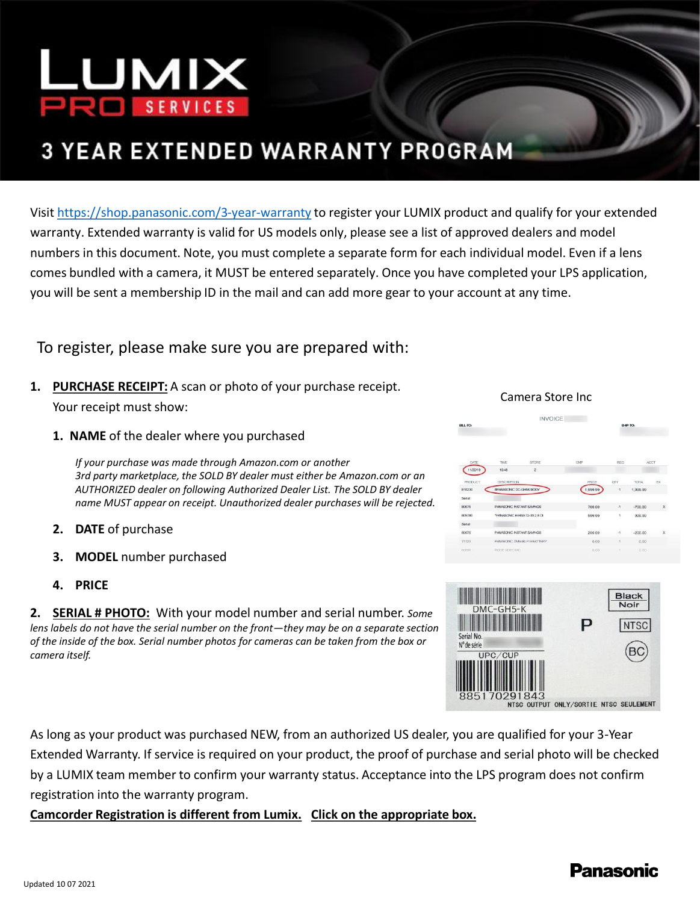## **LUMIX PRO SERVICES**

## **3 YEAR EXTENDED WARRANTY PROGRAM**

Visit <https://shop.panasonic.com/3-year-warranty> to register your LUMIX product and qualify for your extended warranty. Extended warranty is valid for US models only, please see a list of approved dealers and model numbers in this document. Note, you must complete a separate form for each individual model. Even if a lens comes bundled with a camera, it MUST be entered separately. Once you have completed your LPS application, you will be sent a membership ID in the mail and can add more gear to your account at any time.

To register, please make sure you are prepared with:

**1. PURCHASE RECEIPT:** A scan or photo of your purchase receipt.

Your receipt must show:

**1. NAME** of the dealer where you purchased

*If your purchase was made through Amazon.com or another 3rd party marketplace, the SOLD BY dealer must either be Amazon.com or an AUTHORIZED dealer on following Authorized Dealer List. The SOLD BY dealer name MUST appear on receipt. Unauthorized dealer purchases will be rejected.*

- **2. DATE** of purchase
- **3. MODEL** number purchased
- **4. PRICE**

**2. SERIAL # PHOTO:** With your model number and serial number. *Some lens labels do not have the serial number on the front—they may be on a separate section of the inside of the box. Serial number photos for cameras can be taken from the box or camera itself.*

As long as your product was purchased NEW, from an authorized US dealer, you are qualified for your 3-Year Extended Warranty. If service is required on your product, the proof of purchase and serial photo will be checked by a LUMIX team member to confirm your warranty status. Acceptance into the LPS program does not confirm registration into the warranty program.

**Camcorder Registration is different from Lumix. Click on the appropriate box.**

Camera Store Inc

BILL-TO

**INVOICE** 

| DATE     | <b>STORE</b><br>TIME          |                               | EM3      | <b>REG</b>                 | <b>ACCT</b>     |             |
|----------|-------------------------------|-------------------------------|----------|----------------------------|-----------------|-------------|
| 11/30/19 | 16:48                         | $\overline{c}$                |          |                            |                 |             |
| PRODUCT  | <b>DESCRIPTION</b>            |                               | PRICE    | <b>SOUTH</b><br><b>QTY</b> | 455905<br>TOTAL | 593<br>EX   |
| 815230   | MPANASCNIC DC-GHSK BODY       |                               | 1,999.99 |                            | 1,999.99        |             |
| Serial   |                               |                               |          |                            |                 |             |
| 80675    | PANASONIC INSTANT SAVINGS     |                               | 700.00   | $-1$                       | $-700.00$       | $\times$    |
| 809780   | *PANASONIC H-HSA 12-35 2.8 OI |                               | 999.99   | 1.                         | 999.99          |             |
| Serial   |                               |                               |          |                            |                 |             |
| 80675    | PANASONIC INSTANT SAVINGS     |                               | 200.00   | $-1$                       | $-200.00$       | $\mathbf x$ |
| 71123    |                               | PANASCINIC DMAMRE F19 BATTERY | 0.00     | ч.                         | 0.00            |             |
| 60899    | RODEVIDED MC                  |                               | 0.00     | ÷                          | $-0.00$         |             |



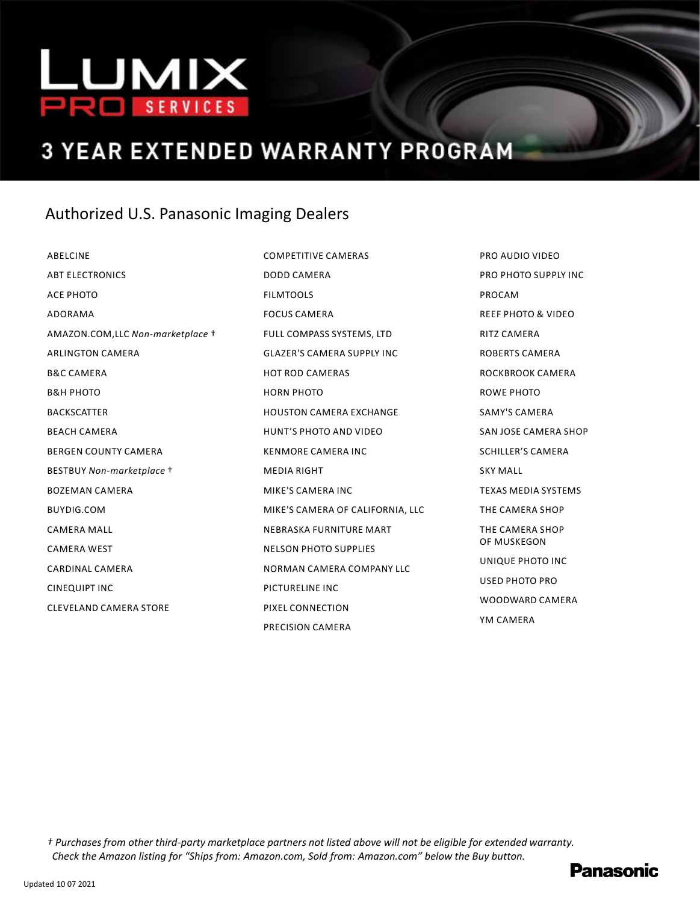

### **3 YEAR EXTENDED WARRANTY PROGRAM**

#### Authorized U.S. Panasonic Imaging Dealers

ABELCINE ABT ELECTRONICS ACE PHOTO ADORAMA AMAZON.COM,LLC *Non-marketplace* † ARLINGTON CAMERA B&C CAMERA B&H PHOTO BACKSCATTER BEACH CAMERA BERGEN COUNTY CAMERA BESTBUY *Non-marketplace* † BOZEMAN CAMERA BUYDIG.COM CAMERA MALL CAMERA WEST CARDINAL CAMERA CINEQUIPT INC CLEVELAND CAMERA STORE

COMPETITIVE CAMERAS DODD CAMERA FILMTOOLS FOCUS CAMERA FULL COMPASS SYSTEMS, LTD GLAZER'S CAMERA SUPPLY INC HOT ROD CAMERAS HORN PHOTO HOUSTON CAMERA EXCHANGE HUNT'S PHOTO AND VIDEO KENMORE CAMERA INC MEDIA RIGHT MIKE'S CAMERA INC MIKE'S CAMERA OF CALIFORNIA, LLC NEBRASKA FURNITURE MART NELSON PHOTO SUPPLIES NORMAN CAMERA COMPANY LLC PICTURELINE INC PIXEL CONNECTION PRECISION CAMERA

PRO AUDIO VIDEO PRO PHOTO SUPPLY INC PROCAM REEF PHOTO & VIDEO RITZ CAMERA ROBERTS CAMERA ROCKBROOK CAMERA ROWE PHOTO SAMY'S CAMERA SAN JOSE CAMERA SHOP SCHILLER'S CAMERA SKY MALL TEXAS MEDIA SYSTEMS THE CAMERA SHOP THE CAMERA SHOP OF MUSKEGON UNIQUE PHOTO INC USED PHOTO PRO WOODWARD CAMERA YM CAMERA

*† Purchases from other third-party marketplace partners not listed above will not be eligible for extended warranty. Check the Amazon listing for "Ships from: Amazon.com, Sold from: Amazon.com" below the Buy button.*